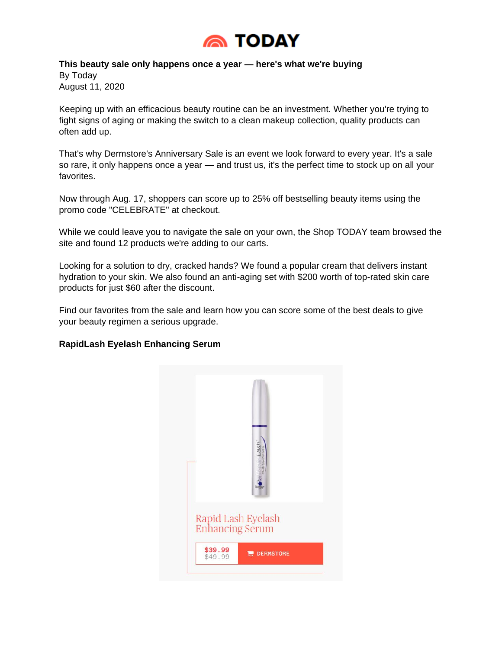

**This beauty sale only happens once a year — here's what we're buying** By Today August 11, 2020

Keeping up with an efficacious beauty routine can be an investment. Whether you're trying to fight signs of aging or making the switch to a clean makeup collection, quality products can often add up.

That's why Dermstore's Anniversary Sale is an event we look forward to every year. It's a sale so rare, it only happens once a year — and trust us, it's the perfect time to stock up on all your favorites.

Now through Aug. 17, shoppers can score up to 25% off bestselling beauty items using the promo code "CELEBRATE" at checkout.

While we could leave you to navigate the sale on your own, the Shop TODAY team browsed the site and found 12 products we're adding to our carts.

Looking for a solution to dry, cracked hands? We found a popular cream that delivers instant hydration to your skin. We also found an anti-aging set with \$200 worth of top-rated skin care products for just \$60 after the discount.

Find our favorites from the sale and learn how you can score some of the best deals to give your beauty regimen a serious upgrade.

## **RapidLash Eyelash Enhancing Serum**